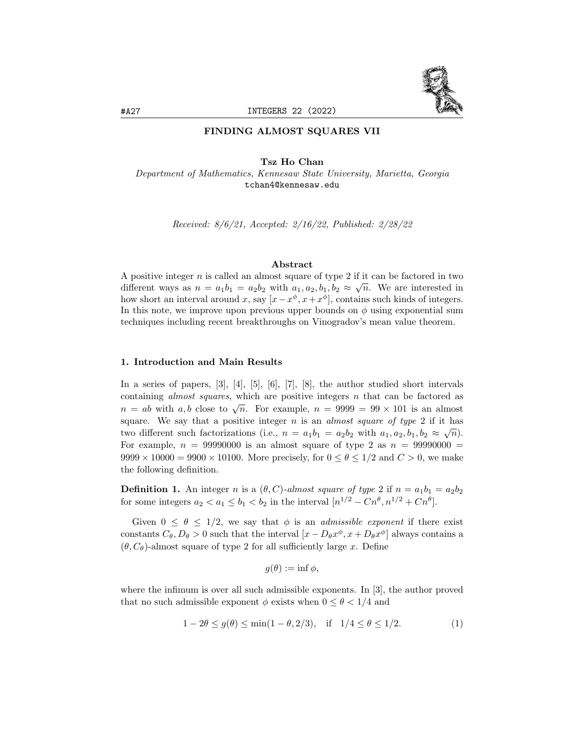

# FINDING ALMOST SQUARES VII

Tsz Ho Chan Department of Mathematics, Kennesaw State University, Marietta, Georgia

tchan4@kennesaw.edu

Received: 8/6/21, Accepted: 2/16/22, Published: 2/28/22

#### Abstract

A positive integer *n* is called an almost square of type 2 if it can be factored in two  $\frac{1}{\sqrt{n}}$ different ways as  $n = a_1b_1 = a_2b_2$  with  $a_1, a_2, b_1, b_2 \approx \sqrt{n}$ . We are interested in how short an interval around x, say  $[x - x^{\phi}, x + x^{\phi}]$ , contains such kinds of integers. In this note, we improve upon previous upper bounds on  $\phi$  using exponential sum techniques including recent breakthroughs on Vinogradov's mean value theorem.

### 1. Introduction and Main Results

In a series of papers, [3], [4], [5], [6], [7], [8], the author studied short intervals containing *almost squares*, which are positive integers  $n$  that can be factored as the containing almost squares, which are positive integers *n* that can be factored as  $n = ab$  with a, b close to  $\sqrt{n}$ . For example,  $n = 9999 = 99 \times 101$  is an almost square. We say that a positive integer n is an *almost square of type* 2 if it has two different such factorizations (i.e.,  $n = a_1b_1 = a_2b_2$  with  $a_1, a_2, b_1, b_2 \approx \sqrt{n}$ ). For example,  $n = 99990000$  is an almost square of type 2 as  $n = 99990000 =$  $9999 \times 10000 = 9900 \times 10100$ . More precisely, for  $0 \le \theta \le 1/2$  and  $C > 0$ , we make the following definition.

**Definition 1.** An integer n is a  $(\theta, C)$ -almost square of type 2 if  $n = a_1b_1 = a_2b_2$ for some integers  $a_2 < a_1 \leq b_1 < b_2$  in the interval  $[n^{1/2} - Cn^{\theta}, n^{1/2} + Cn^{\theta}]$ .

Given  $0 \le \theta \le 1/2$ , we say that  $\phi$  is an *admissible exponent* if there exist constants  $C_{\theta}, D_{\theta} > 0$  such that the interval  $[x - D_{\theta}x^{\phi}, x + D_{\theta}x^{\phi}]$  always contains a  $(\theta, C_{\theta})$ -almost square of type 2 for all sufficiently large x. Define

$$
g(\theta) := \inf \phi,
$$

where the infimum is over all such admissible exponents. In [3], the author proved that no such admissible exponent  $\phi$  exists when  $0 \le \theta < 1/4$  and

$$
1 - 2\theta \le g(\theta) \le \min(1 - \theta, 2/3), \quad \text{if} \quad 1/4 \le \theta \le 1/2. \tag{1}
$$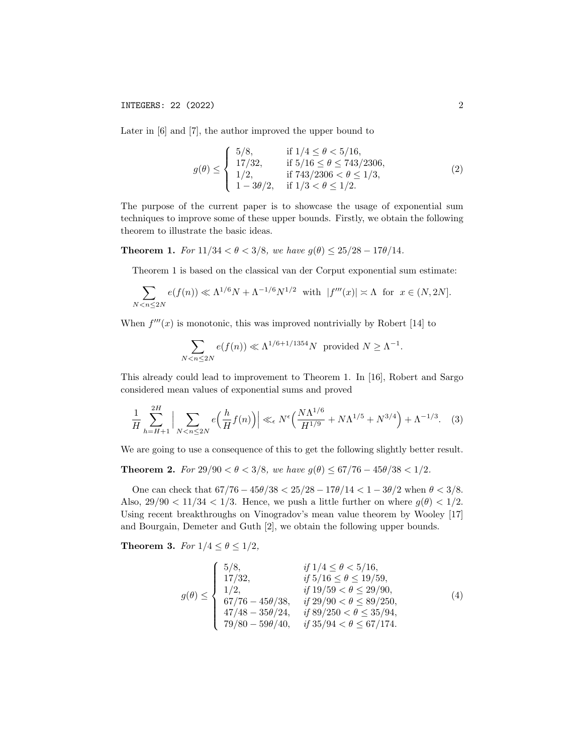Later in [6] and [7], the author improved the upper bound to

$$
g(\theta) \leq \begin{cases} 5/8, & \text{if } 1/4 \leq \theta < 5/16, \\ 17/32, & \text{if } 5/16 \leq \theta \leq 743/2306, \\ 1/2, & \text{if } 743/2306 < \theta \leq 1/3, \\ 1 - 3\theta/2, & \text{if } 1/3 < \theta \leq 1/2. \end{cases} \tag{2}
$$

The purpose of the current paper is to showcase the usage of exponential sum techniques to improve some of these upper bounds. Firstly, we obtain the following theorem to illustrate the basic ideas.

**Theorem 1.** For  $11/34 < \theta < 3/8$ , we have  $g(\theta) \le 25/28 - 17\theta/14$ .

Theorem 1 is based on the classical van der Corput exponential sum estimate:

$$
\sum_{N < n \le 2N} e(f(n)) \ll \Lambda^{1/6} N + \Lambda^{-1/6} N^{1/2} \quad \text{with} \quad |f'''(x)| \asymp \Lambda \quad \text{for} \quad x \in (N, 2N].
$$

When  $f'''(x)$  is monotonic, this was improved nontrivially by Robert [14] to

$$
\sum_{N < n \le 2N} e(f(n)) \ll \Lambda^{1/6 + 1/1354} N \text{ provided } N \ge \Lambda^{-1}.
$$

This already could lead to improvement to Theorem 1. In [16], Robert and Sargo considered mean values of exponential sums and proved

$$
\frac{1}{H} \sum_{h=H+1}^{2H} \Big| \sum_{N < n \le 2N} e\Big(\frac{h}{H} f(n)\Big) \Big| \ll_{\epsilon} N^{\epsilon} \Big(\frac{N\Lambda^{1/6}}{H^{1/9}} + N\Lambda^{1/5} + N^{3/4}\Big) + \Lambda^{-1/3}.\tag{3}
$$

We are going to use a consequence of this to get the following slightly better result.

Theorem 2. For  $29/90 < \theta < 3/8$ , we have  $g(\theta) \leq 67/76 - 45\theta/38 < 1/2$ .

One can check that  $67/76 - 45\theta/38 < 25/28 - 17\theta/14 < 1 - 3\theta/2$  when  $\theta < 3/8$ . Also,  $29/90 < 11/34 < 1/3$ . Hence, we push a little further on where  $g(\theta) < 1/2$ . Using recent breakthroughs on Vinogradov's mean value theorem by Wooley [17] and Bourgain, Demeter and Guth [2], we obtain the following upper bounds.

Theorem 3. For  $1/4 \leq \theta \leq 1/2$ ,

$$
g(\theta) \leq \begin{cases} 5/8, & if \ 1/4 \leq \theta < 5/16, \\ 17/32, & if \ 5/16 \leq \theta \leq 19/59, \\ 1/2, & if \ 19/59 < \theta \leq 29/90, \\ 67/76 - 45\theta/38, & if \ 29/90 < \theta \leq 89/250, \\ 47/48 - 35\theta/24, & if \ 89/250 < \theta \leq 35/94, \\ 79/80 - 59\theta/40, & if \ 35/94 < \theta \leq 67/174. \end{cases}
$$
(4)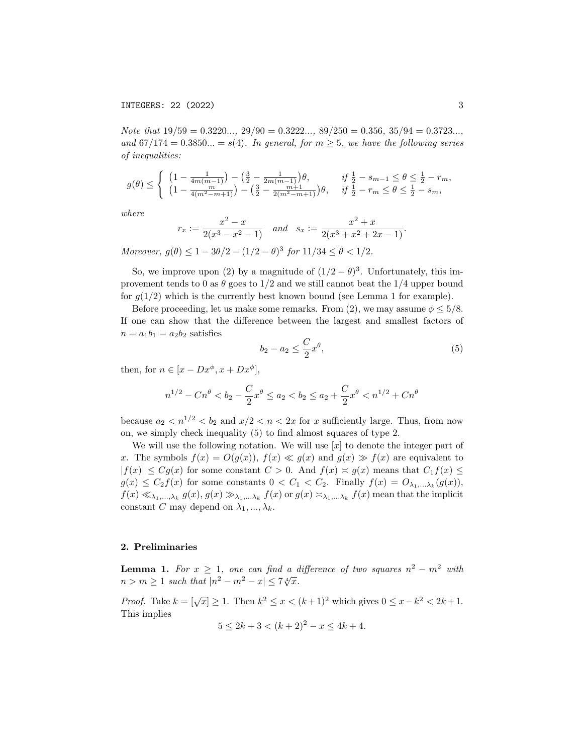Note that  $19/59 = 0.3220...$ ,  $29/90 = 0.3222...$ ,  $89/250 = 0.356$ ,  $35/94 = 0.3723...$ , and  $67/174 = 0.3850... = s(4)$ . In general, for  $m > 5$ , we have the following series of inequalities:

$$
g(\theta) \leq \begin{cases} \left(1 - \frac{1}{4m(m-1)}\right) - \left(\frac{3}{2} - \frac{1}{2m(m-1)}\right)\theta, & \text{if } \frac{1}{2} - s_{m-1} \leq \theta \leq \frac{1}{2} - r_m, \\ \left(1 - \frac{m}{4(m^2 - m + 1)}\right) - \left(\frac{3}{2} - \frac{m+1}{2(m^2 - m + 1)}\right)\theta, & \text{if } \frac{1}{2} - r_m \leq \theta \leq \frac{1}{2} - s_m, \end{cases}
$$

where

$$
r_x := \frac{x^2 - x}{2(x^3 - x^2 - 1)}
$$
 and  $s_x := \frac{x^2 + x}{2(x^3 + x^2 + 2x - 1)}$ .

Moreover,  $g(\theta) \leq 1 - 3\theta/2 - (1/2 - \theta)^3$  for  $11/34 \leq \theta < 1/2$ .

So, we improve upon (2) by a magnitude of  $(1/2 - \theta)^3$ . Unfortunately, this improvement tends to 0 as  $\theta$  goes to  $1/2$  and we still cannot beat the  $1/4$  upper bound for  $q(1/2)$  which is the currently best known bound (see Lemma 1 for example).

Before proceeding, let us make some remarks. From (2), we may assume  $\phi \leq 5/8$ . If one can show that the difference between the largest and smallest factors of  $n = a_1b_1 = a_2b_2$  satisfies

$$
b_2 - a_2 \le \frac{C}{2} x^{\theta},\tag{5}
$$

then, for  $n \in [x - Dx^{\phi}, x + Dx^{\phi}],$ 

$$
n^{1/2} - Cn^{\theta} < b_2 - \frac{C}{2}x^{\theta} \le a_2 < b_2 \le a_2 + \frac{C}{2}x^{\theta} < n^{1/2} + Cn^{\theta}
$$

because  $a_2 < n^{1/2} < b_2$  and  $x/2 < n < 2x$  for x sufficiently large. Thus, from now on, we simply check inequality (5) to find almost squares of type 2.

We will use the following notation. We will use  $[x]$  to denote the integer part of x. The symbols  $f(x) = O(g(x))$ ,  $f(x) \ll g(x)$  and  $g(x) \gg f(x)$  are equivalent to  $|f(x)| \leq Cg(x)$  for some constant  $C > 0$ . And  $f(x) \approx g(x)$  means that  $C_1 f(x) \leq C_2 g(x)$  $g(x) \leq C_2 f(x)$  for some constants  $0 < C_1 < C_2$ . Finally  $f(x) = O_{\lambda_1, \dots, \lambda_k}(g(x))$ ,  $f(x) \ll_{\lambda_1,\dots,\lambda_k} g(x), g(x) \gg_{\lambda_1,\dots,\lambda_k} f(x)$  or  $g(x) \asymp_{\lambda_1,\dots,\lambda_k} f(x)$  mean that the implicit constant C may depend on  $\lambda_1, ..., \lambda_k$ .

### 2. Preliminaries

**Lemma 1.** For  $x \geq 1$ , one can find a difference of two squares  $n^2 - m^2$  with **Definite 1.** For  $x \ge 1$ , one can find a control of  $n > m \ge 1$  such that  $|n^2 - m^2 - x| \le 7\sqrt[4]{x}$ .

*Proof.* Take  $k = \lfloor \sqrt{x} \rfloor \ge 1$ . Then  $k^2 \le x < (k+1)^2$  which gives  $0 \le x - k^2 < 2k + 1$ . This implies

$$
5 \le 2k + 3 < (k+2)^2 - x \le 4k + 4.
$$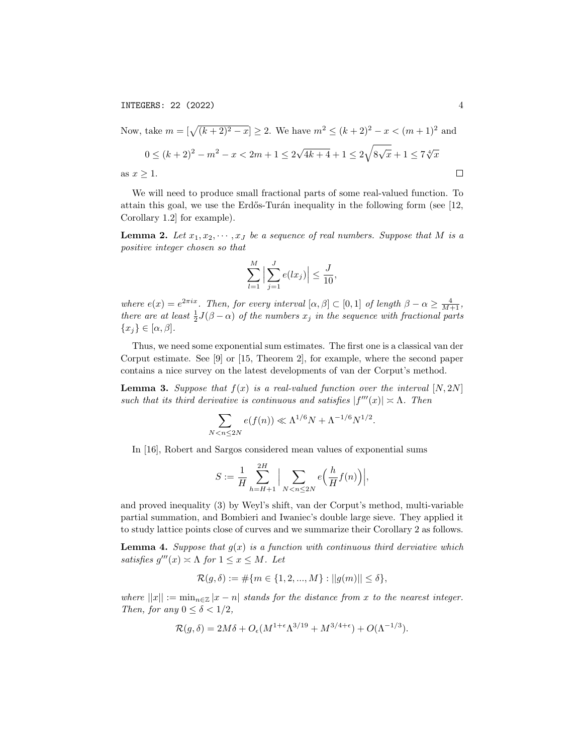INTEGERS: 22 (2022) 4

Now, take 
$$
m = [\sqrt{(k+2)^2 - x}] \ge 2
$$
. We have  $m^2 \le (k+2)^2 - x < (m+1)^2$  and  
\n $0 \le (k+2)^2 - m^2 - x < 2m+1 \le 2\sqrt{4k+4} + 1 \le 2\sqrt{8\sqrt{x}} + 1 \le 7\sqrt[4]{x}$   
\nas  $x \ge 1$ .

We will need to produce small fractional parts of some real-valued function. To attain this goal, we use the Erdős-Turán inequality in the following form (see  $[12, 12]$ ) Corollary 1.2] for example).

**Lemma 2.** Let  $x_1, x_2, \dots, x_J$  be a sequence of real numbers. Suppose that M is a positive integer chosen so that

$$
\sum_{l=1}^{M} \Big| \sum_{j=1}^{J} e(lx_j) \Big| \le \frac{J}{10},
$$

where  $e(x) = e^{2\pi ix}$ . Then, for every interval  $[\alpha, \beta] \subset [0,1]$  of length  $\beta - \alpha \ge \frac{4}{M+1}$ , there are at least  $\frac{1}{2}J(\beta-\alpha)$  of the numbers  $x_j$  in the sequence with fractional parts  ${x_j} \in [\alpha, \beta].$ 

Thus, we need some exponential sum estimates. The first one is a classical van der Corput estimate. See [9] or [15, Theorem 2], for example, where the second paper contains a nice survey on the latest developments of van der Corput's method.

**Lemma 3.** Suppose that  $f(x)$  is a real-valued function over the interval  $[N, 2N]$ such that its third derivative is continuous and satisfies  $|f'''(x)| \approx \Lambda$ . Then

$$
\sum_{N < n \le 2N} e(f(n)) \ll \Lambda^{1/6} N + \Lambda^{-1/6} N^{1/2}.
$$

In [16], Robert and Sargos considered mean values of exponential sums

$$
S := \frac{1}{H} \sum_{h=H+1}^{2H} \Big| \sum_{N < n \le 2N} e\Big(\frac{h}{H} f(n)\Big) \Big|,
$$

and proved inequality (3) by Weyl's shift, van der Corput's method, multi-variable partial summation, and Bombieri and Iwaniec's double large sieve. They applied it to study lattice points close of curves and we summarize their Corollary 2 as follows.

**Lemma 4.** Suppose that  $g(x)$  is a function with continuous third derviative which satisfies  $g'''(x) \simeq \Lambda$  for  $1 \leq x \leq M$ . Let

$$
\mathcal{R}(g,\delta) := \#\{m \in \{1,2,...,M\} : ||g(m)|| \le \delta\},\
$$

where  $||x|| := \min_{n \in \mathbb{Z}} |x - n|$  stands for the distance from x to the nearest integer. Then, for any  $0 \le \delta < 1/2$ ,

$$
\mathcal{R}(g,\delta) = 2M\delta + O_{\epsilon}(M^{1+\epsilon}\Lambda^{3/19} + M^{3/4+\epsilon}) + O(\Lambda^{-1/3}).
$$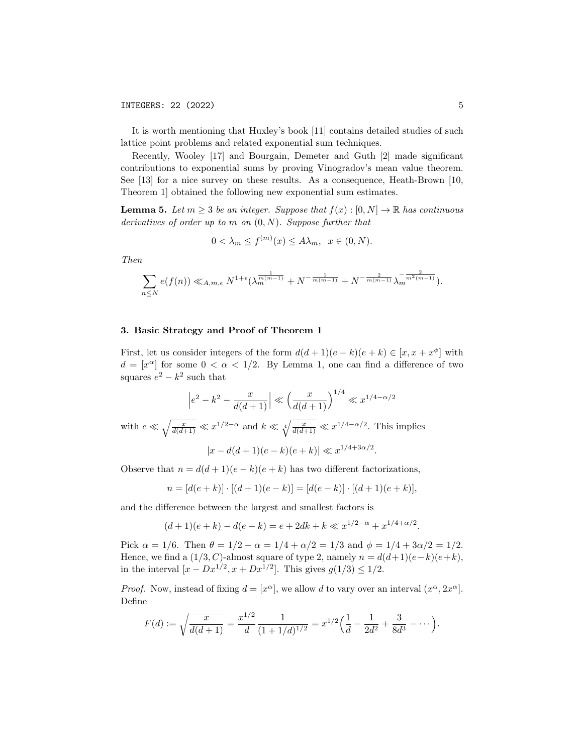It is worth mentioning that Huxley's book [11] contains detailed studies of such lattice point problems and related exponential sum techniques.

Recently, Wooley [17] and Bourgain, Demeter and Guth [2] made significant contributions to exponential sums by proving Vinogradov's mean value theorem. See [13] for a nice survey on these results. As a consequence, Heath-Brown [10, Theorem 1] obtained the following new exponential sum estimates.

**Lemma 5.** Let  $m \geq 3$  be an integer. Suppose that  $f(x): [0, N] \to \mathbb{R}$  has continuous derivatives of order up to  $m$  on  $(0, N)$ . Suppose further that

$$
0 < \lambda_m \le f^{(m)}(x) \le A\lambda_m, \ \ x \in (0, N).
$$

Then

$$
\sum_{n\leq N} e(f(n)) \ll_{A,m,\epsilon} N^{1+\epsilon} (\lambda_m^{\frac{1}{m(m-1)}} + N^{-\frac{1}{m(m-1)}} + N^{-\frac{2}{m(m-1)}} \lambda_m^{-\frac{2}{m^2(m-1)}}).
$$

### 3. Basic Strategy and Proof of Theorem 1

First, let us consider integers of the form  $d(d+1)(e-k)(e+k) \in [x, x+x^{\phi}]$  with  $d = [x^{\alpha}]$  for some  $0 < \alpha < 1/2$ . By Lemma 1, one can find a difference of two squares  $e^2 - k^2$  such that

$$
\left|e^{2} - k^{2} - \frac{x}{d(d+1)}\right| \ll \left(\frac{x}{d(d+1)}\right)^{1/4} \ll x^{1/4 - \alpha/2}
$$
  
with  $e \ll \sqrt{\frac{x}{d(d+1)}} \ll x^{1/2 - \alpha}$  and  $k \ll \sqrt[4]{\frac{x}{d(d+1)}} \ll x^{1/4 - \alpha/2}$ . This implies  

$$
|x - d(d+1)(e-k)(e+k)| \ll x^{1/4 + 3\alpha/2}.
$$

Observe that  $n = d(d+1)(e-k)(e+k)$  has two different factorizations,

$$
n = [d(e+k)] \cdot [(d+1)(e-k)] = [d(e-k)] \cdot [(d+1)(e+k)],
$$

and the difference between the largest and smallest factors is

$$
(d+1)(e+k) - d(e-k) = e + 2dk + k \ll x^{1/2 - \alpha} + x^{1/4 + \alpha/2}.
$$

Pick  $\alpha = 1/6$ . Then  $\theta = 1/2 - \alpha = 1/4 + \alpha/2 = 1/3$  and  $\phi = 1/4 + 3\alpha/2 = 1/2$ . Hence, we find a  $(1/3, C)$ -almost square of type 2, namely  $n = d(d+1)(e-k)(e+k)$ , in the interval  $[x - Dx^{1/2}, x + Dx^{1/2}]$ . This gives  $g(1/3) \le 1/2$ .

*Proof.* Now, instead of fixing  $d = [x^{\alpha}]$ , we allow d to vary over an interval  $(x^{\alpha}, 2x^{\alpha})$ . Define

$$
F(d) := \sqrt{\frac{x}{d(d+1)}} = \frac{x^{1/2}}{d} \frac{1}{(1+1/d)^{1/2}} = x^{1/2} \left(\frac{1}{d} - \frac{1}{2d^2} + \frac{3}{8d^3} - \cdots\right).
$$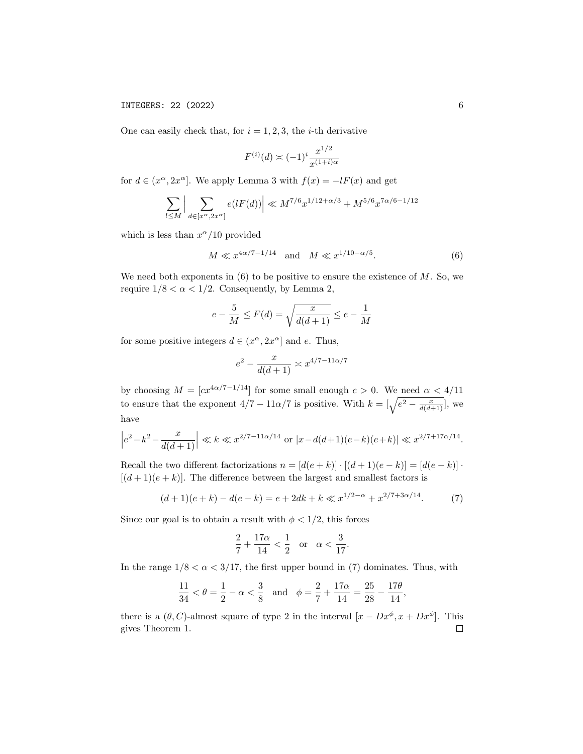One can easily check that, for  $i = 1, 2, 3$ , the *i*-th derivative

$$
F^{(i)}(d) \asymp (-1)^i \frac{x^{1/2}}{x^{(1+i)\alpha}}
$$

for  $d \in (x^{\alpha}, 2x^{\alpha}]$ . We apply Lemma 3 with  $f(x) = -lF(x)$  and get

$$
\sum_{l\leq M}\Big|\sum_{d\in [x^{\alpha},2x^{\alpha}]}e(lF(d))\Big|\ll M^{7/6}x^{1/12+\alpha/3}+M^{5/6}x^{7\alpha/6-1/12}
$$

which is less than  $x^{\alpha}/10$  provided

$$
M \ll x^{4\alpha/7 - 1/14}
$$
 and  $M \ll x^{1/10 - \alpha/5}$ . (6)

We need both exponents in  $(6)$  to be positive to ensure the existence of M. So, we require  $1/8 < \alpha < 1/2$ . Consequently, by Lemma 2,

$$
e - \frac{5}{M} \le F(d) = \sqrt{\frac{x}{d(d+1)}} \le e - \frac{1}{M}
$$

for some positive integers  $d \in (x^{\alpha}, 2x^{\alpha}]$  and e. Thus,

$$
e^2 - \frac{x}{d(d+1)} \asymp x^{4/7 - 11\alpha/7}
$$

by choosing  $M = [cx^{4\alpha/7-1/14}]$  for some small enough  $c > 0$ . We need  $\alpha < 4/11$ to ensure that the exponent  $4/7 - 11\alpha/7$  is positive. With  $k = \left[\sqrt{e^2 - \frac{x}{d(d+1)}}\right]$ , we have

$$
\left|e^{2} - k^{2} - \frac{x}{d(d+1)}\right| \ll k \ll x^{2/7 - 11\alpha/14} \text{ or } |x - d(d+1)(e-k)(e+k)| \ll x^{2/7 + 17\alpha/14}.
$$

Recall the two different factorizations  $n = [d(e+k)] \cdot [(d+1)(e-k)] = [d(e-k)] \cdot$  $[(d+1)(e+k)]$ . The difference between the largest and smallest factors is

$$
(d+1)(e+k) - d(e-k) = e + 2dk + k \ll x^{1/2 - \alpha} + x^{2/7 + 3\alpha/14}.
$$
 (7)

Since our goal is to obtain a result with  $\phi < 1/2$ , this forces

$$
\frac{2}{7} + \frac{17\alpha}{14} < \frac{1}{2} \quad \text{or} \quad \alpha < \frac{3}{17}.
$$

In the range  $1/8 < \alpha < 3/17$ , the first upper bound in (7) dominates. Thus, with

$$
\frac{11}{34} < \theta = \frac{1}{2} - \alpha < \frac{3}{8} \quad \text{and} \quad \phi = \frac{2}{7} + \frac{17\alpha}{14} = \frac{25}{28} - \frac{17\theta}{14},
$$

there is a  $(\theta, C)$ -almost square of type 2 in the interval  $[x - Dx^{\phi}, x + Dx^{\phi}]$ . This gives Theorem 1. $\Box$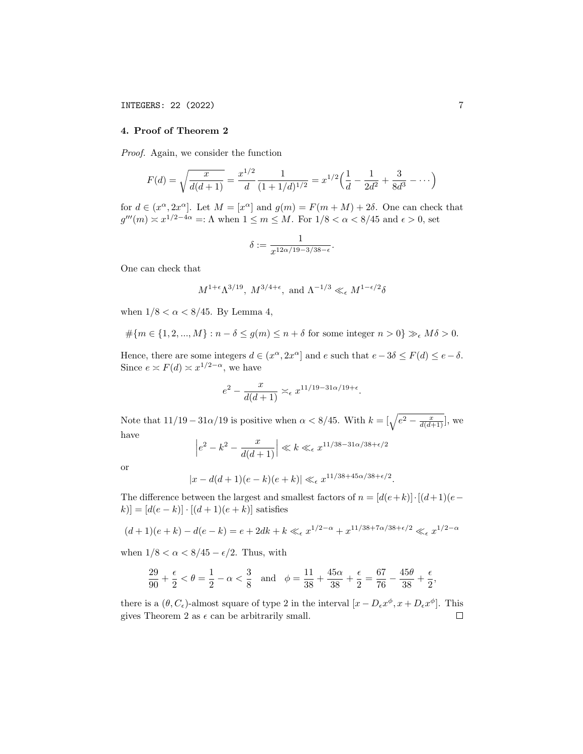## 4. Proof of Theorem 2

Proof. Again, we consider the function

$$
F(d) = \sqrt{\frac{x}{d(d+1)}} = \frac{x^{1/2}}{d} \frac{1}{(1+1/d)^{1/2}} = x^{1/2} \left(\frac{1}{d} - \frac{1}{2d^2} + \frac{3}{8d^3} - \dotsb\right)
$$

for  $d \in (x^{\alpha}, 2x^{\alpha}]$ . Let  $M = [x^{\alpha}]$  and  $g(m) = F(m+M) + 2\delta$ . One can check that  $g'''(m) \approx x^{1/2-4\alpha} =: \Lambda$  when  $1 \leq m \leq M$ . For  $1/8 < \alpha < 8/45$  and  $\epsilon > 0$ , set

$$
\delta := \frac{1}{x^{12\alpha/19 - 3/38 - \epsilon}}.
$$

One can check that

$$
M^{1+\epsilon}\Lambda^{3/19},\ M^{3/4+\epsilon},\ \text{and}\ \Lambda^{-1/3}\ll_\epsilon M^{1-\epsilon/2}\delta
$$

when  $1/8 < \alpha < 8/45$ . By Lemma 4,

$$
#\{m \in \{1, 2, ..., M\} : n - \delta \le g(m) \le n + \delta \text{ for some integer } n > 0\} \gg_{\epsilon} M\delta > 0.
$$

Hence, there are some integers  $d \in (x^{\alpha}, 2x^{\alpha}]$  and e such that  $e - 3\delta \leq F(d) \leq e - \delta$ . Since  $e \asymp F(d) \asymp x^{1/2-\alpha}$ , we have

$$
e^2 - \frac{x}{d(d+1)} \asymp_{\epsilon} x^{11/19 - 31\alpha/19 + \epsilon}.
$$

Note that  $11/19 - 31\alpha/19$  is positive when  $\alpha < 8/45$ . With  $k = \left[\sqrt{e^2 - \frac{x}{d(d+1)}}\right]$ , we have

$$
\left|e^2 - k^2 - \frac{x}{d(d+1)}\right| \ll k \ll_{\epsilon} x^{11/38 - 31\alpha/38 + \epsilon/2}
$$

or

$$
|x - d(d+1)(e-k)(e+k)| \ll_{\epsilon} x^{11/38+45\alpha/38+\epsilon/2}.
$$

The difference between the largest and smallest factors of  $n = [d(e+k)] \cdot [(d+1)(e-\mathcal{O}(e^2)))$  $[k] = [d(e-k)] \cdot [(d+1)(e+k)]$  satisfies

$$
(d+1)(e+k) - d(e-k) = e + 2dk + k \ll_{\epsilon} x^{1/2-\alpha} + x^{11/38+7\alpha/38+\epsilon/2} \ll_{\epsilon} x^{1/2-\alpha}
$$

when  $1/8 < \alpha < 8/45 - \epsilon/2$ . Thus, with

$$
\frac{29}{90} + \frac{\epsilon}{2} < \theta = \frac{1}{2} - \alpha < \frac{3}{8} \quad \text{and} \quad \phi = \frac{11}{38} + \frac{45\alpha}{38} + \frac{\epsilon}{2} = \frac{67}{76} - \frac{45\theta}{38} + \frac{\epsilon}{2}
$$

there is a  $(\theta, C_{\epsilon})$ -almost square of type 2 in the interval  $[x - D_{\epsilon}x^{\phi}, x + D_{\epsilon}x^{\phi}]$ . This gives Theorem 2 as  $\epsilon$  can be arbitrarily small.  $\Box$ 

,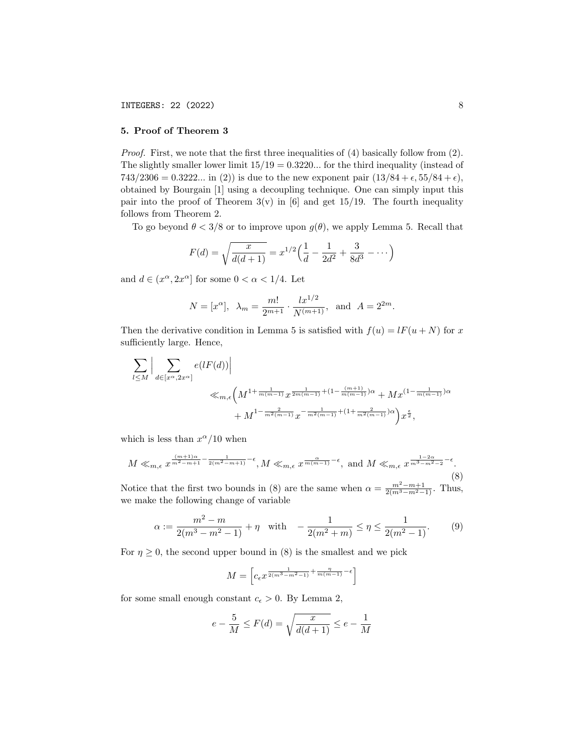# 5. Proof of Theorem 3

Proof. First, we note that the first three inequalities of (4) basically follow from (2). The slightly smaller lower limit  $15/19 = 0.3220...$  for the third inequality (instead of 743/2306 = 0.3222... in (2)) is due to the new exponent pair  $(13/84 + \epsilon, 55/84 + \epsilon)$ , obtained by Bourgain [1] using a decoupling technique. One can simply input this pair into the proof of Theorem  $3(v)$  in [6] and get 15/19. The fourth inequality follows from Theorem 2.

To go beyond  $\theta < 3/8$  or to improve upon  $g(\theta)$ , we apply Lemma 5. Recall that

$$
F(d) = \sqrt{\frac{x}{d(d+1)}} = x^{1/2} \left( \frac{1}{d} - \frac{1}{2d^2} + \frac{3}{8d^3} - \dots \right)
$$

and  $d \in (x^{\alpha}, 2x^{\alpha}]$  for some  $0 < \alpha < 1/4$ . Let

$$
N = [x^{\alpha}], \lambda_m = \frac{m!}{2^{m+1}} \cdot \frac{lx^{1/2}}{N^{(m+1)}}, \text{ and } A = 2^{2m}.
$$

Then the derivative condition in Lemma 5 is satisfied with  $f(u) = lF(u + N)$  for x sufficiently large. Hence,

$$
\sum_{l \leq M} \Big| \sum_{d \in [x^{\alpha}, 2x^{\alpha}]} e(lF(d)) \Big|
$$
  

$$
\leq m, \epsilon \Big( M^{1 + \frac{1}{m(m-1)}} x^{\frac{1}{2m(m-1)} + (1 - \frac{(m+1)}{m(m-1)})\alpha} + M x^{(1 - \frac{1}{m(m-1)})\alpha} + M^{1 - \frac{2}{m^2(m-1)}} x^{-\frac{1}{m^2(m-1)} + (1 + \frac{2}{m^2(m-1)})\alpha} \Big) x^{\frac{\epsilon}{2}},
$$

which is less than  $x^{\alpha}/10$  when

$$
M \ll_{m,\epsilon} x^{\frac{(m+1)\alpha}{m^2 - m + 1} - \frac{1}{2(m^2 - m + 1)} - \epsilon}, M \ll_{m,\epsilon} x^{\frac{\alpha}{m(m-1)} - \epsilon}, \text{ and } M \ll_{m,\epsilon} x^{\frac{1 - 2\alpha}{m^3 - m^2 - 2} - \epsilon}.
$$
\n
$$
(8)
$$

Notice that the first two bounds in (8) are the same when  $\alpha = \frac{m^2 - m + 1}{2(m^3 - m^2 - 1)}$ . Thus, we make the following change of variable

$$
\alpha := \frac{m^2 - m}{2(m^3 - m^2 - 1)} + \eta \quad \text{with} \quad -\frac{1}{2(m^2 + m)} \le \eta \le \frac{1}{2(m^2 - 1)}.
$$
 (9)

For  $\eta \geq 0$ , the second upper bound in (8) is the smallest and we pick

$$
M = \left[c_{\epsilon}x^{\frac{1}{2(m^3 - m^2 - 1)} + \frac{\eta}{m(m-1)} - \epsilon}\right]
$$

for some small enough constant  $c_{\epsilon} > 0$ . By Lemma 2,

$$
e - \frac{5}{M} \le F(d) = \sqrt{\frac{x}{d(d+1)}} \le e - \frac{1}{M}
$$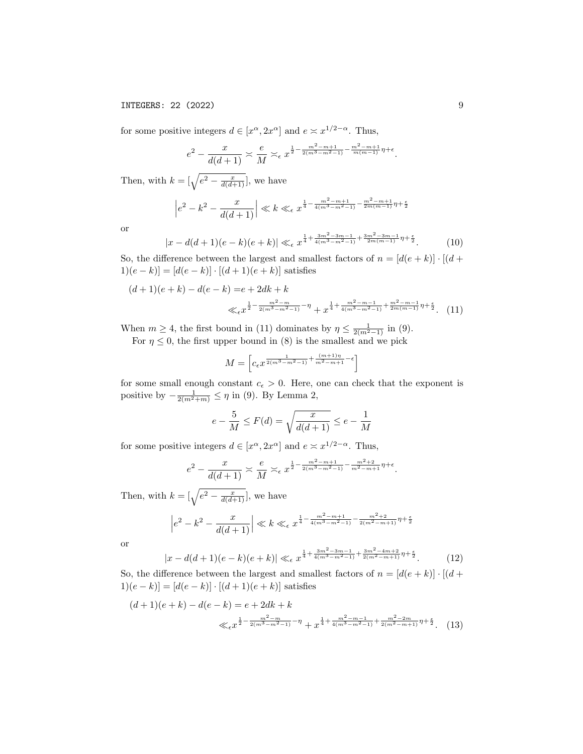# INTEGERS: 22 (2022) 9

for some positive integers  $d \in [x^{\alpha}, 2x^{\alpha}]$  and  $e \asymp x^{1/2-\alpha}$ . Thus,

$$
e^2 - \frac{x}{d(d+1)} \approx \frac{e}{M} \approx e^{\frac{1}{2} - \frac{m^2 - m + 1}{2(m^3 - m^2 - 1)} - \frac{m^2 - m + 1}{m(m-1)}\eta + \epsilon}
$$

Then, with  $k = \left[\sqrt{e^2 - \frac{x}{d(d+1)}}\right]$ , we have

$$
\left|e^{2} - k^{2} - \frac{x}{d(d+1)}\right| \ll k \ll_{\epsilon} x^{\frac{1}{4} - \frac{m^{2} - m + 1}{4(m^{3} - m^{2} - 1)} - \frac{m^{2} - m + 1}{2m(m-1)}\eta + \frac{\epsilon}{2}}
$$

or

$$
|x - d(d+1)(e-k)(e+k)| \ll_{\epsilon} x^{\frac{1}{4} + \frac{3m^2 - 3m - 1}{4(m^3 - m^2 - 1)} + \frac{3m^2 - 3m - 1}{2m(m-1)}\eta + \frac{\epsilon}{2}}.
$$
 (10)

So, the difference between the largest and smallest factors of  $n = [d(e + k)] \cdot [(d +$ 1) $(e - k)$ ] = [ $d(e - k)$ ] · [ $(d + 1)(e + k)$ ] satisfies

$$
(d+1)(e+k) - d(e-k) = e + 2dk + k
$$
  

$$
\ll_{\epsilon} x^{\frac{1}{2} - \frac{m^2 - m}{2(m^3 - m^2 - 1)} - \eta} + x^{\frac{1}{4} + \frac{m^2 - m - 1}{4(m^3 - m^2 - 1)} + \frac{m^2 - m - 1}{2m(m-1)}\eta + \frac{\epsilon}{2}}.
$$
 (11)

When  $m \geq 4$ , the first bound in (11) dominates by  $\eta \leq \frac{1}{2(m^2-1)}$  in (9).

For  $\eta \leq 0$ , the first upper bound in (8) is the smallest and we pick

$$
M = \left[c_{\epsilon} x^{\frac{1}{2(m^3 - m^2 - 1)} + \frac{(m+1)\eta}{m^2 - m + 1} - \epsilon}\right]
$$

for some small enough constant  $c_{\epsilon} > 0$ . Here, one can check that the exponent is positive by  $-\frac{1}{2(m^2+m)} \leq \eta$  in (9). By Lemma 2,

$$
e - \frac{5}{M} \le F(d) = \sqrt{\frac{x}{d(d+1)}} \le e - \frac{1}{M}
$$

for some positive integers  $d \in [x^{\alpha}, 2x^{\alpha}]$  and  $e \approx x^{1/2-\alpha}$ . Thus,

$$
e^2 - \frac{x}{d(d+1)} \approx \frac{e}{M} \approx \epsilon x^{\frac{1}{2} - \frac{m^2 - m + 1}{2(m^3 - m^2 - 1)} - \frac{m^2 + 2}{m^2 - m + 1} \eta + \epsilon}.
$$

Then, with  $k = \left[\sqrt{e^2 - \frac{x}{d(d+1)}}\right]$ , we have

$$
\left|e^{2}-k^{2}-\frac{x}{d(d+1)}\right|\ll k\ll_{\epsilon} x^{\frac{1}{4}-\frac{m^{2}-m+1}{4(m^{3}-m^{2}-1)}-\frac{m^{2}+2}{2(m^{2}-m+1)}\eta+\frac{\epsilon}{2}}
$$

or

$$
|x - d(d+1)(e-k)(e+k)| \ll_{\epsilon} x^{\frac{1}{4} + \frac{3m^2 - 3m - 1}{4(m^3 - m^2 - 1)} + \frac{3m^2 - 4m + 2}{2(m^2 - m + 1)}\eta + \frac{\epsilon}{2}}.
$$
 (12)

So, the difference between the largest and smallest factors of  $n = [d(e + k)] \cdot [(d +$ 1) $(e - k)$ ] = [ $d(e - k)$ ] · [ $(d + 1)(e + k)$ ] satisfies

$$
(d+1)(e+k) - d(e-k) = e + 2dk + k
$$
  

$$
\ll_{\epsilon} x^{\frac{1}{2} - \frac{m^2 - m}{2(m^3 - m^2 - 1)} - \eta} + x^{\frac{1}{4} + \frac{m^2 - m - 1}{4(m^3 - m^2 - 1)} + \frac{m^2 - 2m}{2(m^2 - m + 1)}\eta + \frac{\epsilon}{2}}.
$$
 (13)

.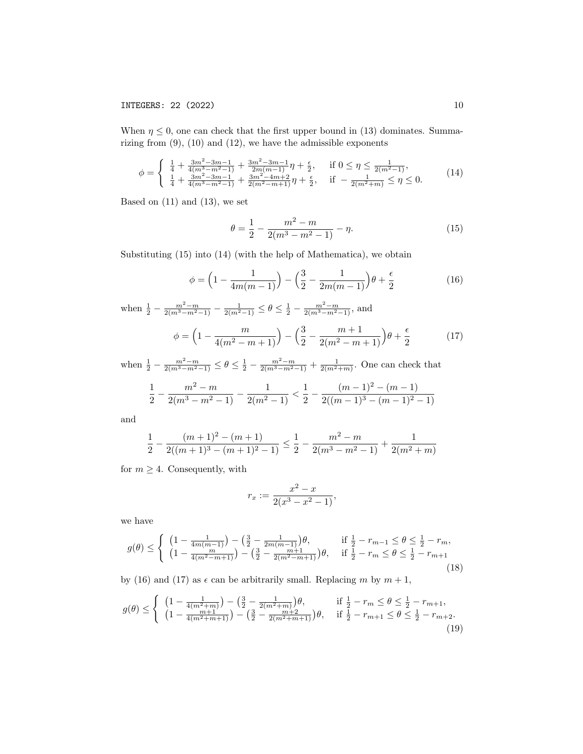When  $\eta \leq 0$ , one can check that the first upper bound in (13) dominates. Summarizing from  $(9)$ ,  $(10)$  and  $(12)$ , we have the admissible exponents

$$
\phi = \begin{cases} \frac{1}{4} + \frac{3m^2 - 3m - 1}{4(m^3 - m^2 - 1)} + \frac{3m^2 - 3m - 1}{2m(m - 1)} \eta + \frac{\epsilon}{2}, & \text{if } 0 \le \eta \le \frac{1}{2(m^2 - 1)},\\ \frac{1}{4} + \frac{3m^2 - 3m - 1}{4(m^3 - m^2 - 1)} + \frac{3m^2 - 4m + 2}{2(m^2 - m + 1)} \eta + \frac{\epsilon}{2}, & \text{if } -\frac{1}{2(m^2 + m)} \le \eta \le 0. \end{cases} (14)
$$

Based on  $(11)$  and  $(13)$ , we set

$$
\theta = \frac{1}{2} - \frac{m^2 - m}{2(m^3 - m^2 - 1)} - \eta.
$$
\n(15)

Substituting (15) into (14) (with the help of Mathematica), we obtain

$$
\phi = \left(1 - \frac{1}{4m(m-1)}\right) - \left(\frac{3}{2} - \frac{1}{2m(m-1)}\right)\theta + \frac{\epsilon}{2}
$$
(16)

when  $\frac{1}{2} - \frac{m^2 - m}{2(m^3 - m^2 - 1)} - \frac{1}{2(m^2 - 1)} \le \theta \le \frac{1}{2} - \frac{m^2 - m}{2(m^3 - m^2 - 1)}$ , and  $\phi = \left(1 - \frac{m}{\sqrt{2}}\right)$  $4(m^2 - m + 1)$  $-\left(\frac{3}{2}\right)$  $rac{3}{2} - \frac{m+1}{2(m^2-m)}$  $2(m^2 - m + 1)$  $\theta + \frac{\epsilon}{2}$ 2 (17)

when  $\frac{1}{2} - \frac{m^2 - m}{2(m^3 - m^2 - 1)} \le \theta \le \frac{1}{2} - \frac{m^2 - m}{2(m^3 - m^2 - 1)} + \frac{1}{2(m^2 + m)}$ . One can check that

$$
\frac{1}{2} - \frac{m^2 - m}{2(m^3 - m^2 - 1)} - \frac{1}{2(m^2 - 1)} < \frac{1}{2} - \frac{(m - 1)^2 - (m - 1)}{2((m - 1)^3 - (m - 1)^2 - 1)}
$$

and

$$
\frac{1}{2}-\frac{(m+1)^2-(m+1)}{2((m+1)^3-(m+1)^2-1)}\leq \frac{1}{2}-\frac{m^2-m}{2(m^3-m^2-1)}+\frac{1}{2(m^2+m)}
$$

for  $m \geq 4$ . Consequently, with

$$
r_x := \frac{x^2 - x}{2(x^3 - x^2 - 1)},
$$

we have

$$
g(\theta) \leq \begin{cases} \left(1 - \frac{1}{4m(m-1)}\right) - \left(\frac{3}{2} - \frac{1}{2m(m-1)}\right)\theta, & \text{if } \frac{1}{2} - r_{m-1} \leq \theta \leq \frac{1}{2} - r_m, \\ \left(1 - \frac{m}{4(m^2 - m + 1)}\right) - \left(\frac{3}{2} - \frac{m+1}{2(m^2 - m + 1)}\right)\theta, & \text{if } \frac{1}{2} - r_m \leq \theta \leq \frac{1}{2} - r_{m+1} \end{cases} \tag{18}
$$

by (16) and (17) as  $\epsilon$  can be arbitrarily small. Replacing m by  $m + 1$ ,

$$
g(\theta) \leq \begin{cases} \left(1 - \frac{1}{4(m^2 + m)}\right) - \left(\frac{3}{2} - \frac{1}{2(m^2 + m)}\right)\theta, & \text{if } \frac{1}{2} - r_m \leq \theta \leq \frac{1}{2} - r_{m+1},\\ \left(1 - \frac{m+1}{4(m^2 + m+1)}\right) - \left(\frac{3}{2} - \frac{m+2}{2(m^2 + m+1)}\right)\theta, & \text{if } \frac{1}{2} - r_{m+1} \leq \theta \leq \frac{1}{2} - r_{m+2}. \end{cases} \tag{19}
$$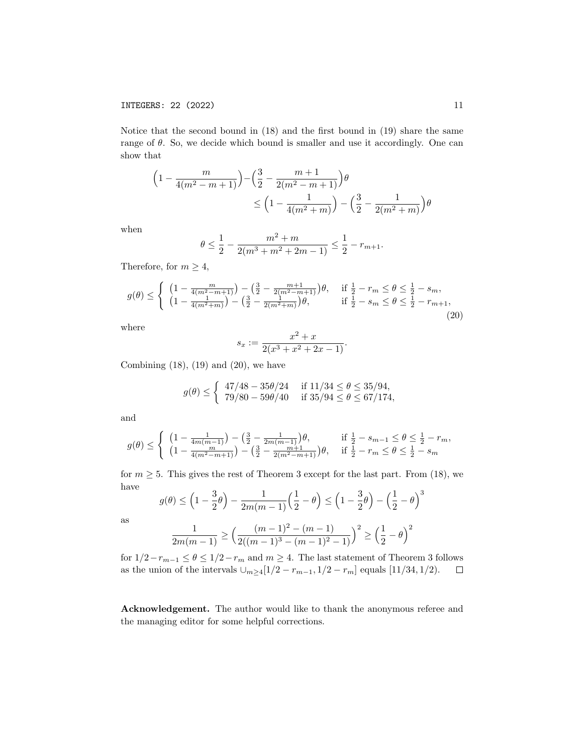Notice that the second bound in (18) and the first bound in (19) share the same range of  $\theta$ . So, we decide which bound is smaller and use it accordingly. One can show that

$$
\left(1 - \frac{m}{4(m^2 - m + 1)}\right) - \left(\frac{3}{2} - \frac{m + 1}{2(m^2 - m + 1)}\right)\theta
$$
  
\$\leq \left(1 - \frac{1}{4(m^2 + m)}\right) - \left(\frac{3}{2} - \frac{1}{2(m^2 + m)}\right)\theta\$

when

$$
\theta \le \frac{1}{2} - \frac{m^2 + m}{2(m^3 + m^2 + 2m - 1)} \le \frac{1}{2} - r_{m+1}.
$$

Therefore, for  $m \geq 4$ ,

$$
g(\theta) \leq \begin{cases} \left(1 - \frac{m}{4(m^2 - m + 1)}\right) - \left(\frac{3}{2} - \frac{m + 1}{2(m^2 - m + 1)}\right)\theta, & \text{if } \frac{1}{2} - r_m \leq \theta \leq \frac{1}{2} - s_m, \\ \left(1 - \frac{1}{4(m^2 + m)}\right) - \left(\frac{3}{2} - \frac{1}{2(m^2 + m)}\right)\theta, & \text{if } \frac{1}{2} - s_m \leq \theta \leq \frac{1}{2} - r_{m+1}, \end{cases} \tag{20}
$$

where

$$
s_x := \frac{x^2 + x}{2(x^3 + x^2 + 2x - 1)}.
$$

Combining  $(18)$ ,  $(19)$  and  $(20)$ , we have

$$
g(\theta) \le \begin{cases} 47/48 - 35\theta/24 & \text{if } 11/34 \le \theta \le 35/94, \\ 79/80 - 59\theta/40 & \text{if } 35/94 \le \theta \le 67/174, \end{cases}
$$

and

$$
g(\theta) \leq \begin{cases} \left(1 - \frac{1}{4m(m-1)}\right) - \left(\frac{3}{2} - \frac{1}{2m(m-1)}\right)\theta, & \text{if } \frac{1}{2} - s_{m-1} \leq \theta \leq \frac{1}{2} - r_m, \\ \left(1 - \frac{m}{4(m^2 - m + 1)}\right) - \left(\frac{3}{2} - \frac{m+1}{2(m^2 - m + 1)}\right)\theta, & \text{if } \frac{1}{2} - r_m \leq \theta \leq \frac{1}{2} - s_m \end{cases}
$$

for  $m \geq 5$ . This gives the rest of Theorem 3 except for the last part. From (18), we have 3

$$
g(\theta) \le \left(1 - \frac{3}{2}\theta\right) - \frac{1}{2m(m-1)}\left(\frac{1}{2} - \theta\right) \le \left(1 - \frac{3}{2}\theta\right) - \left(\frac{1}{2} - \theta\right)^2
$$

as

$$
\frac{1}{2m(m-1)} \ge \left(\frac{(m-1)^2-(m-1)}{2((m-1)^3-(m-1)^2-1)}\right)^2 \ge \left(\frac{1}{2}-\theta\right)^2
$$

for  $1/2-r_{m-1}\leq \theta\leq 1/2-r_m$  and  $m\geq 4$ . The last statement of Theorem 3 follows as the union of the intervals  $\cup_{m\geq 4}[1/2 - r_{m-1}, 1/2 - r_m]$  equals  $[11/34, 1/2)$ .

Acknowledgement. The author would like to thank the anonymous referee and the managing editor for some helpful corrections.